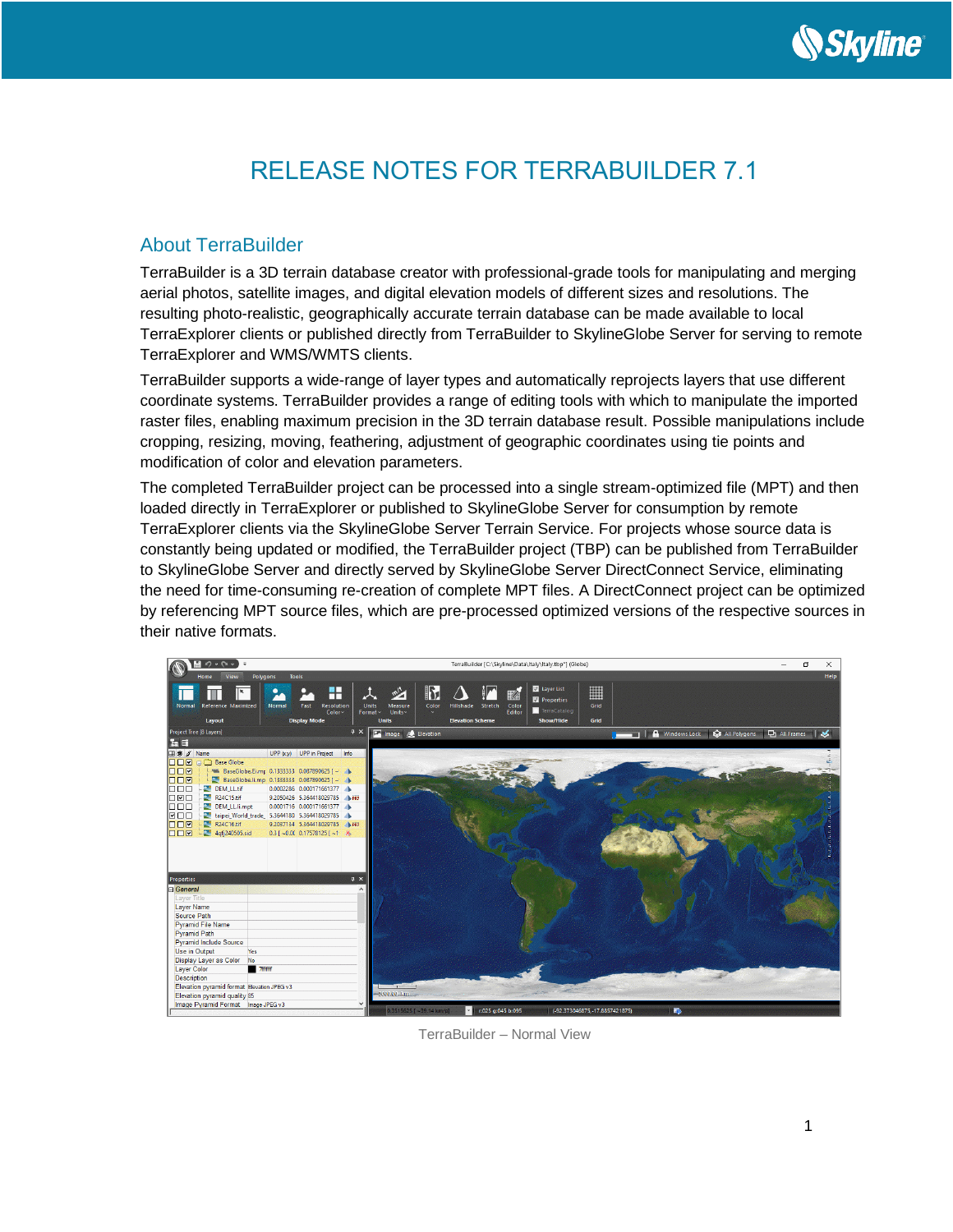

# RELEASE NOTES FOR TERRABUILDER 7.1

## About TerraBuilder

TerraBuilder is a 3D terrain database creator with professional-grade tools for manipulating and merging aerial photos, satellite images, and digital elevation models of different sizes and resolutions. The resulting photo-realistic, geographically accurate terrain database can be made available to local TerraExplorer clients or published directly from TerraBuilder to SkylineGlobe Server for serving to remote TerraExplorer and WMS/WMTS clients.

TerraBuilder supports a wide-range of layer types and automatically reprojects layers that use different coordinate systems. TerraBuilder provides a range of editing tools with which to manipulate the imported raster files, enabling maximum precision in the 3D terrain database result. Possible manipulations include cropping, resizing, moving, feathering, adjustment of geographic coordinates using tie points and modification of color and elevation parameters.

The completed TerraBuilder project can be processed into a single stream-optimized file (MPT) and then loaded directly in TerraExplorer or published to SkylineGlobe Server for consumption by remote TerraExplorer clients via the SkylineGlobe Server Terrain Service. For projects whose source data is constantly being updated or modified, the TerraBuilder project (TBP) can be published from TerraBuilder to SkylineGlobe Server and directly served by SkylineGlobe Server DirectConnect Service, eliminating the need for time-consuming re-creation of complete MPT files. A DirectConnect project can be optimized by referencing MPT source files, which are pre-processed optimized versions of the respective sources in their native formats.



TerraBuilder – Normal View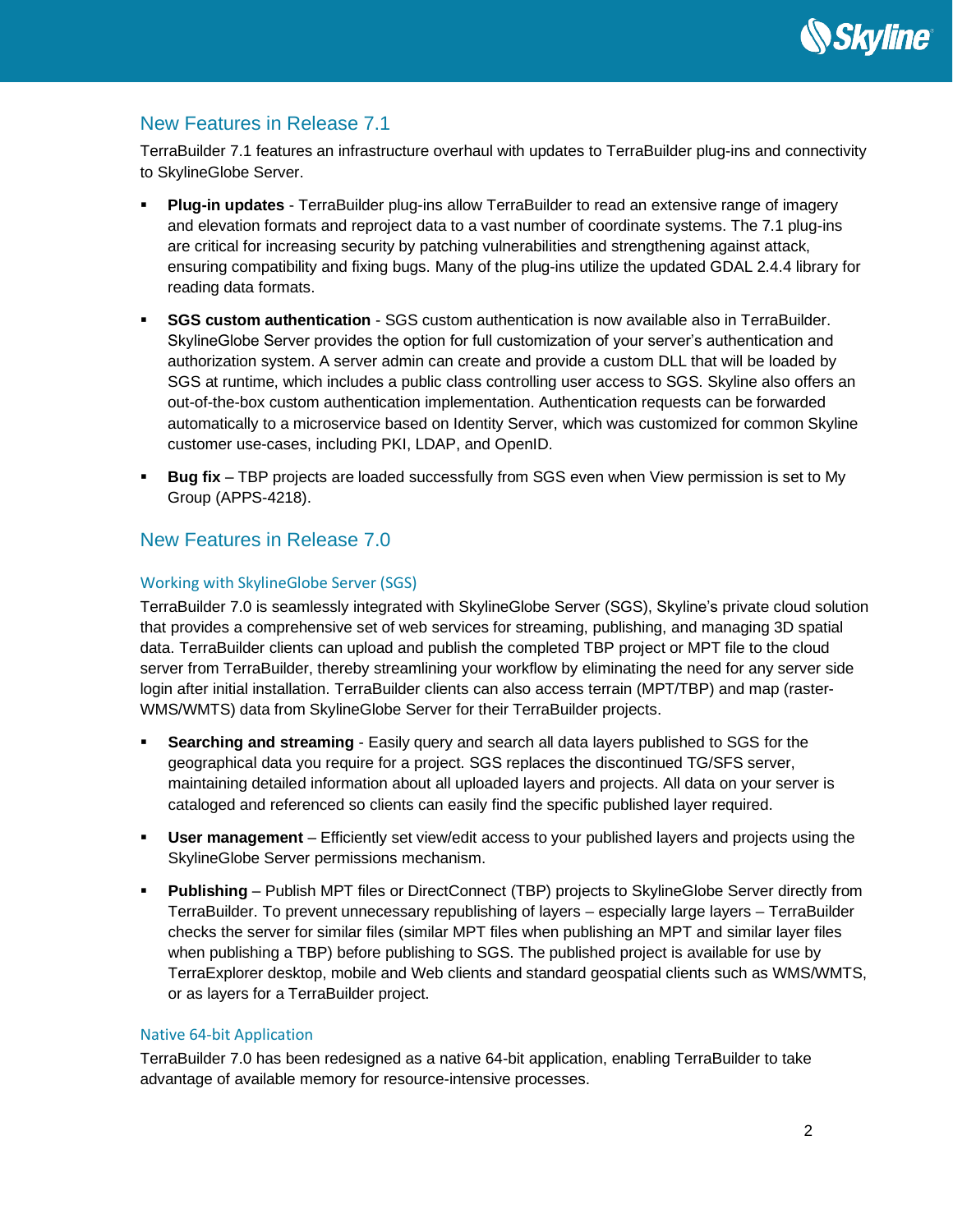

## New Features in Release 7.1

TerraBuilder 7.1 features an infrastructure overhaul with updates to TerraBuilder plug-ins and connectivity to SkylineGlobe Server.

- **Plug-in updates** TerraBuilder plug-ins allow TerraBuilder to read an extensive range of imagery and elevation formats and reproject data to a vast number of coordinate systems. The 7.1 plug-ins are critical for increasing security by patching vulnerabilities and strengthening against attack, ensuring compatibility and fixing bugs. Many of the plug-ins utilize the updated GDAL 2.4.4 library for reading data formats.
- **SGS custom authentication** SGS custom authentication is now available also in TerraBuilder. SkylineGlobe Server provides the option for full customization of your server's authentication and authorization system. A server admin can create and provide a custom DLL that will be loaded by SGS at runtime, which includes a public class controlling user access to SGS. Skyline also offers an out-of-the-box custom authentication implementation. Authentication requests can be forwarded automatically to a microservice based on Identity Server, which was customized for common Skyline customer use-cases, including PKI, LDAP, and OpenID.
- **Bug fix** TBP projects are loaded successfully from SGS even when View permission is set to My Group (APPS-4218).

## New Features in Release 7.0

### Working with SkylineGlobe Server (SGS)

TerraBuilder 7.0 is seamlessly integrated with SkylineGlobe Server (SGS), Skyline's private cloud solution that provides a comprehensive set of web services for streaming, publishing, and managing 3D spatial data. TerraBuilder clients can upload and publish the completed TBP project or MPT file to the cloud server from TerraBuilder, thereby streamlining your workflow by eliminating the need for any server side login after initial installation. TerraBuilder clients can also access terrain (MPT/TBP) and map (raster-WMS/WMTS) data from SkylineGlobe Server for their TerraBuilder projects.

- **EXECT** Searching and streaming Easily query and search all data layers published to SGS for the geographical data you require for a project. SGS replaces the discontinued TG/SFS server, maintaining detailed information about all uploaded layers and projects. All data on your server is cataloged and referenced so clients can easily find the specific published layer required.
- **User management** Efficiently set view/edit access to your published layers and projects using the SkylineGlobe Server permissions mechanism.
- **Publishing** Publish MPT files or DirectConnect (TBP) projects to SkylineGlobe Server directly from TerraBuilder. To prevent unnecessary republishing of layers – especially large layers – TerraBuilder checks the server for similar files (similar MPT files when publishing an MPT and similar layer files when publishing a TBP) before publishing to SGS. The published project is available for use by TerraExplorer desktop, mobile and Web clients and standard geospatial clients such as WMS/WMTS, or as layers for a TerraBuilder project.

#### Native 64-bit Application

TerraBuilder 7.0 has been redesigned as a native 64-bit application, enabling TerraBuilder to take advantage of available memory for resource-intensive processes.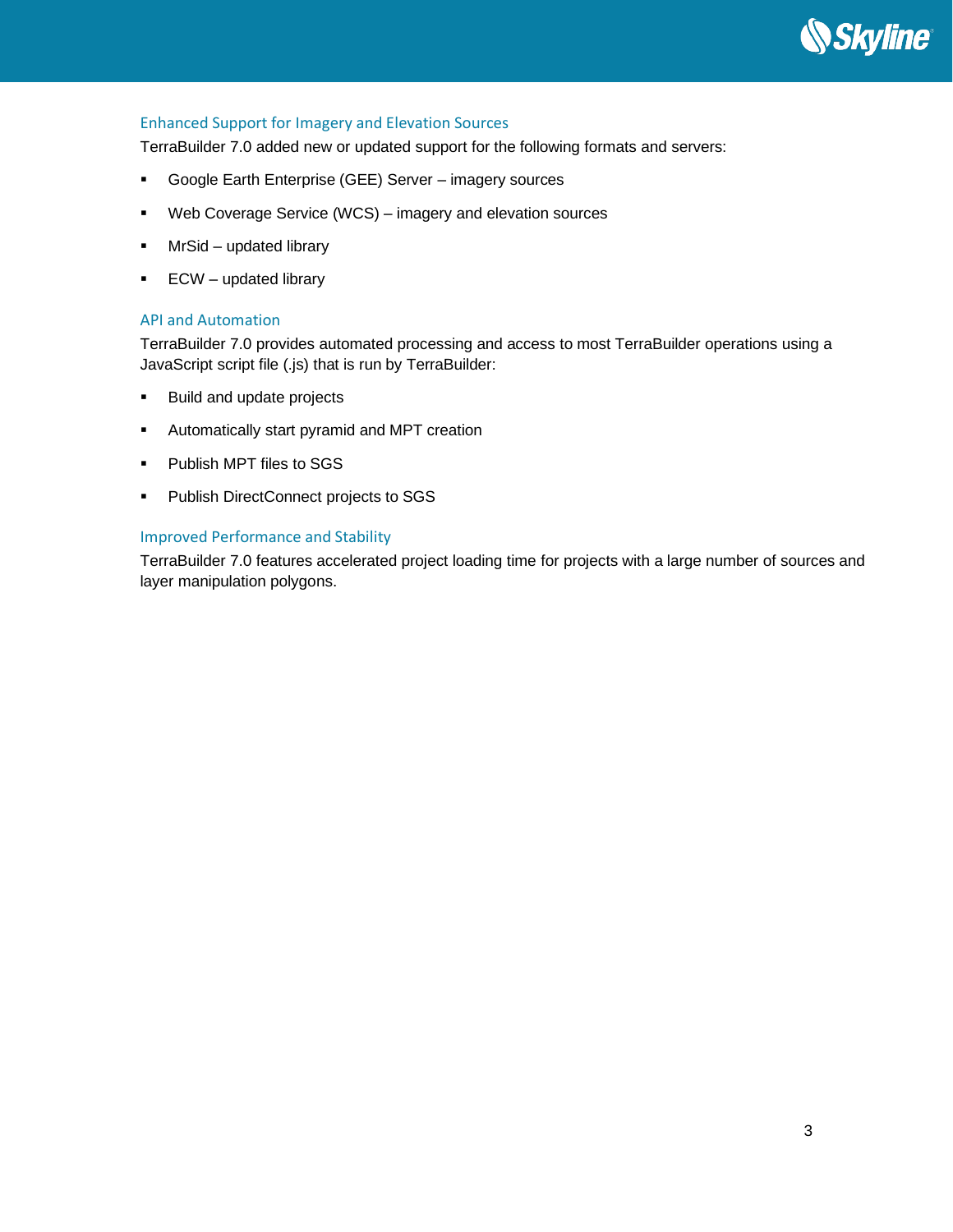

### Enhanced Support for Imagery and Elevation Sources

TerraBuilder 7.0 added new or updated support for the following formats and servers:

- Google Earth Enterprise (GEE) Server imagery sources
- Web Coverage Service (WCS) imagery and elevation sources
- MrSid updated library
- **ECW** updated library

#### API and Automation

TerraBuilder 7.0 provides automated processing and access to most TerraBuilder operations using a JavaScript script file (.js) that is run by TerraBuilder:

- Build and update projects
- Automatically start pyramid and MPT creation
- Publish MPT files to SGS
- Publish DirectConnect projects to SGS

### Improved Performance and Stability

TerraBuilder 7.0 features accelerated project loading time for projects with a large number of sources and layer manipulation polygons.